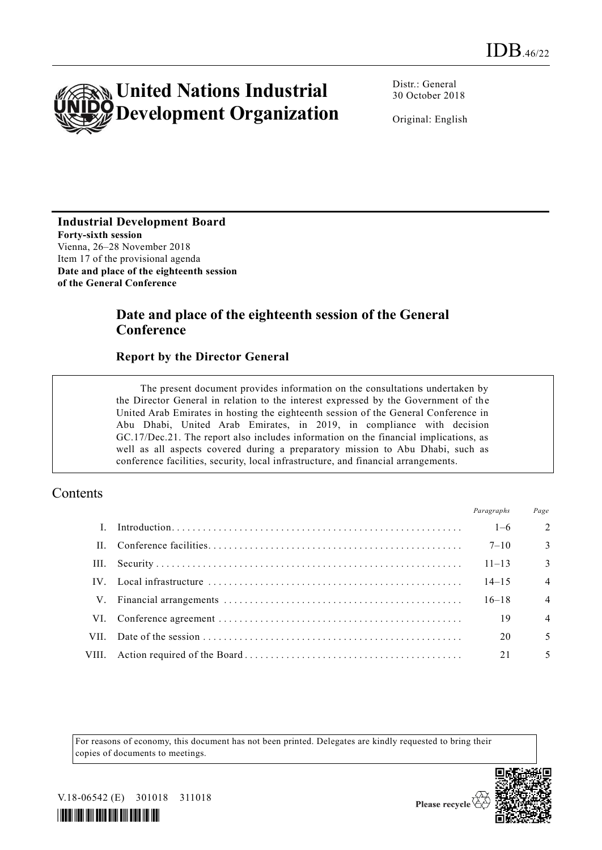

Distr.: General 30 October 2018

Original: English

**Industrial Development Board Forty-sixth session** Vienna, 26–28 November 2018 Item 17 of the provisional agenda **Date and place of the eighteenth session of the General Conference** 

# **Date and place of the eighteenth session of the General Conference**

#### **Report by the Director General**

The present document provides information on the consultations undertaken by the Director General in relation to the interest expressed by the Government of the United Arab Emirates in hosting the eighteenth session of the General Conference in Abu Dhabi, United Arab Emirates, in 2019, in compliance with decision GC.17/Dec.21. The report also includes information on the financial implications, as well as all aspects covered during a preparatory mission to Abu Dhabi, such as conference facilities, security, local infrastructure, and financial arrangements.

#### **Contents**

|              | Paragraphs | Page                    |
|--------------|------------|-------------------------|
| $\mathbf{L}$ | $1-6$      | $\mathcal{L}$           |
|              | $7 - 10$   | $\overline{\mathbf{3}}$ |
|              | $11 - 13$  | $\overline{3}$          |
|              | $14 - 15$  | $\overline{4}$          |
|              | $16 - 18$  | $\overline{4}$          |
|              | 19         | $\overline{4}$          |
|              | 20         | 5                       |
|              | 21         | 5                       |
|              |            |                         |

For reasons of economy, this document has not been printed. Delegates are kindly requested to bring their copies of documents to meetings.



Please recycle  $\check{\mathfrak{C}}$ 

V.18-06542 (E) 301018 311018

*\*1806542\**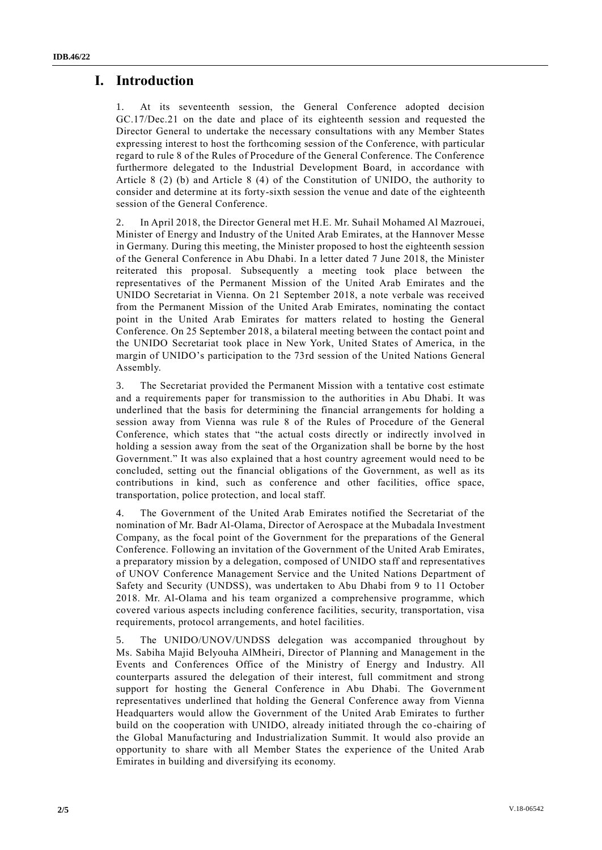### **I. Introduction**

1. At its seventeenth session, the General Conference adopted decision GC.17/Dec.21 on the date and place of its eighteenth session and requested the Director General to undertake the necessary consultations with any Member States expressing interest to host the forthcoming session of the Conference, with particular regard to rule 8 of the Rules of Procedure of the General Conference. The Conference furthermore delegated to the Industrial Development Board, in accordance with Article 8 (2) (b) and Article 8 (4) of the Constitution of UNIDO, the authority to consider and determine at its forty-sixth session the venue and date of the eighteenth session of the General Conference.

2. In April 2018, the Director General met H.E. Mr. Suhail Mohamed Al Mazrouei, Minister of Energy and Industry of the United Arab Emirates, at the Hannover Messe in Germany. During this meeting, the Minister proposed to host the eighteenth session of the General Conference in Abu Dhabi. In a letter dated 7 June 2018, the Minister reiterated this proposal. Subsequently a meeting took place between the representatives of the Permanent Mission of the United Arab Emirates and the UNIDO Secretariat in Vienna. On 21 September 2018, a note verbale was received from the Permanent Mission of the United Arab Emirates, nominating the contact point in the United Arab Emirates for matters related to hosting the General Conference. On 25 September 2018, a bilateral meeting between the contact point and the UNIDO Secretariat took place in New York, United States of America, in the margin of UNIDO's participation to the 73rd session of the United Nations General Assembly.

3. The Secretariat provided the Permanent Mission with a tentative cost estimate and a requirements paper for transmission to the authorities in Abu Dhabi. It was underlined that the basis for determining the financial arrangements for holding a session away from Vienna was rule 8 of the Rules of Procedure of the General Conference, which states that "the actual costs directly or indirectly involved in holding a session away from the seat of the Organization shall be borne by the host Government." It was also explained that a host country agreement would need to be concluded, setting out the financial obligations of the Government, as well as its contributions in kind, such as conference and other facilities, office space, transportation, police protection, and local staff.

The Government of the United Arab Emirates notified the Secretariat of the nomination of Mr. Badr Al-Olama, Director of Aerospace at the Mubadala Investment Company, as the focal point of the Government for the preparations of the General Conference. Following an invitation of the Government of the United Arab Emirates, a preparatory mission by a delegation, composed of UNIDO staff and representatives of UNOV Conference Management Service and the United Nations Department of Safety and Security (UNDSS), was undertaken to Abu Dhabi from 9 to 11 October 2018. Mr. Al-Olama and his team organized a comprehensive programme, which covered various aspects including conference facilities, security, transportation, visa requirements, protocol arrangements, and hotel facilities.

5. The UNIDO/UNOV/UNDSS delegation was accompanied throughout by Ms. Sabiha Majid Belyouha AlMheiri, Director of Planning and Management in the Events and Conferences Office of the Ministry of Energy and Industry. All counterparts assured the delegation of their interest, full commitment and strong support for hosting the General Conference in Abu Dhabi. The Government representatives underlined that holding the General Conference away from Vienna Headquarters would allow the Government of the United Arab Emirates to further build on the cooperation with UNIDO, already initiated through the co -chairing of the Global Manufacturing and Industrialization Summit. It would also provide an opportunity to share with all Member States the experience of the United Arab Emirates in building and diversifying its economy.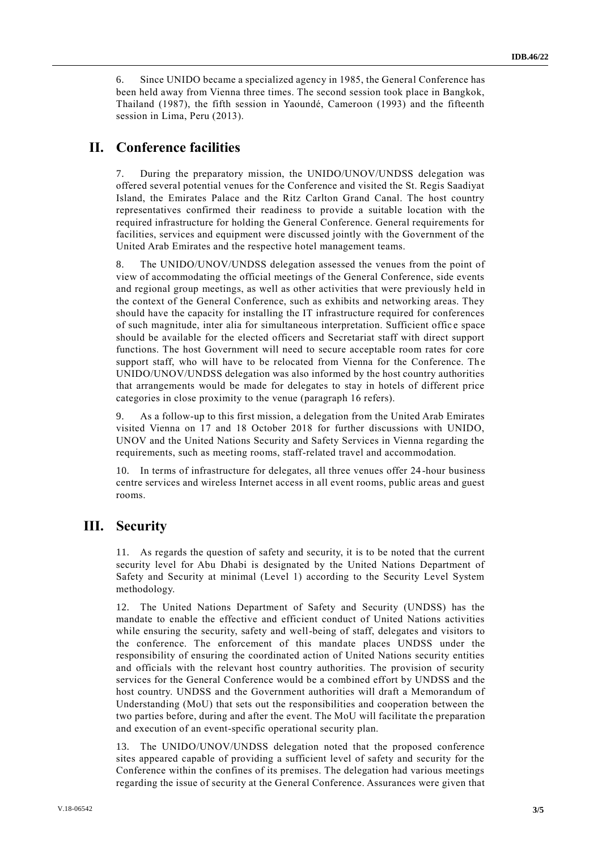6. Since UNIDO became a specialized agency in 1985, the General Conference has been held away from Vienna three times. The second session took place in Bangkok, Thailand (1987), the fifth session in Yaoundé, Cameroon (1993) and the fifteenth session in Lima, Peru (2013).

# **II. Conference facilities**

During the preparatory mission, the UNIDO/UNOV/UNDSS delegation was offered several potential venues for the Conference and visited the St. Regis Saadiyat Island, the Emirates Palace and the Ritz Carlton Grand Canal. The host country representatives confirmed their readiness to provide a suitable location with the required infrastructure for holding the General Conference. General requirements for facilities, services and equipment were discussed jointly with the Government of the United Arab Emirates and the respective hotel management teams.

8. The UNIDO/UNOV/UNDSS delegation assessed the venues from the point of view of accommodating the official meetings of the General Conference, side events and regional group meetings, as well as other activities that were previously h eld in the context of the General Conference, such as exhibits and networking areas. They should have the capacity for installing the IT infrastructure required for conferences of such magnitude, inter alia for simultaneous interpretation. Sufficient offic e space should be available for the elected officers and Secretariat staff with direct support functions. The host Government will need to secure acceptable room rates for core support staff, who will have to be relocated from Vienna for the Conference. The UNIDO/UNOV/UNDSS delegation was also informed by the host country authorities that arrangements would be made for delegates to stay in hotels of different price categories in close proximity to the venue (paragraph 16 refers).

9. As a follow-up to this first mission, a delegation from the United Arab Emirates visited Vienna on 17 and 18 October 2018 for further discussions with UNIDO, UNOV and the United Nations Security and Safety Services in Vienna regarding the requirements, such as meeting rooms, staff-related travel and accommodation.

10. In terms of infrastructure for delegates, all three venues offer 24-hour business centre services and wireless Internet access in all event rooms, public areas and guest rooms.

#### **III. Security**

11. As regards the question of safety and security, it is to be noted that the current security level for Abu Dhabi is designated by the United Nations Department of Safety and Security at minimal (Level 1) according to the Security Level System methodology.

12. The United Nations Department of Safety and Security (UNDSS) has the mandate to enable the effective and efficient conduct of United Nations activities while ensuring the security, safety and well-being of staff, delegates and visitors to the conference. The enforcement of this mandate places UNDSS under the responsibility of ensuring the coordinated action of United Nations security entities and officials with the relevant host country authorities. The provision of security services for the General Conference would be a combined effort by UNDSS and the host country. UNDSS and the Government authorities will draft a Memorandum of Understanding (MoU) that sets out the responsibilities and cooperation between the two parties before, during and after the event. The MoU will facilitate the preparation and execution of an event-specific operational security plan.

13. The UNIDO/UNOV/UNDSS delegation noted that the proposed conference sites appeared capable of providing a sufficient level of safety and security for the Conference within the confines of its premises. The delegation had various meetings regarding the issue of security at the General Conference. Assurances were given that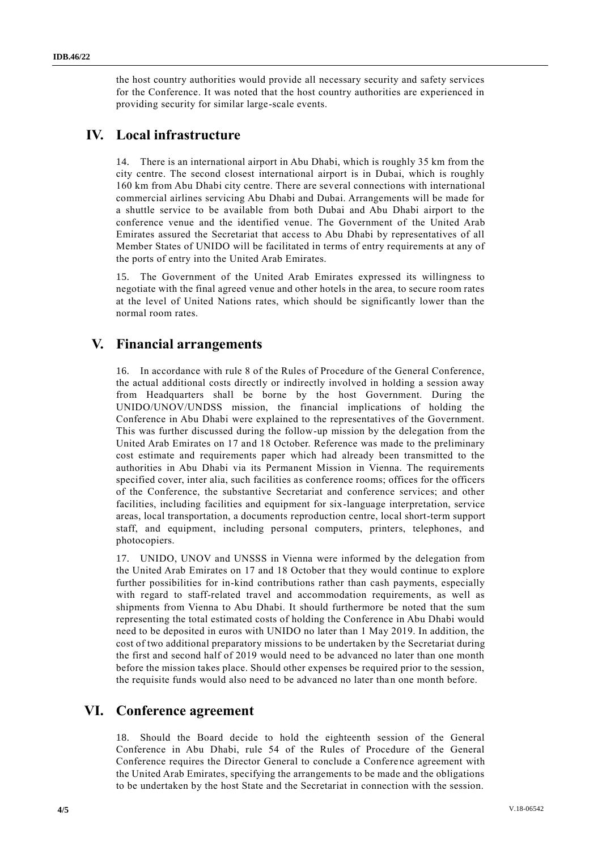the host country authorities would provide all necessary security and safety services for the Conference. It was noted that the host country authorities are experienced in providing security for similar large-scale events.

# **IV. Local infrastructure**

14. There is an international airport in Abu Dhabi, which is roughly 35 km from the city centre. The second closest international airport is in Dubai, which is roughly 160 km from Abu Dhabi city centre. There are several connections with international commercial airlines servicing Abu Dhabi and Dubai. Arrangements will be made for a shuttle service to be available from both Dubai and Abu Dhabi airport to the conference venue and the identified venue. The Government of the United Arab Emirates assured the Secretariat that access to Abu Dhabi by representatives of all Member States of UNIDO will be facilitated in terms of entry requirements at any of the ports of entry into the United Arab Emirates.

15. The Government of the United Arab Emirates expressed its willingness to negotiate with the final agreed venue and other hotels in the area, to secure room rates at the level of United Nations rates, which should be significantly lower than the normal room rates.

# **V. Financial arrangements**

16. In accordance with rule 8 of the Rules of Procedure of the General Conference, the actual additional costs directly or indirectly involved in holding a session away from Headquarters shall be borne by the host Government. During the UNIDO/UNOV/UNDSS mission, the financial implications of holding the Conference in Abu Dhabi were explained to the representatives of the Government. This was further discussed during the follow-up mission by the delegation from the United Arab Emirates on 17 and 18 October. Reference was made to the preliminary cost estimate and requirements paper which had already been transmitted to the authorities in Abu Dhabi via its Permanent Mission in Vienna. The requirements specified cover, inter alia, such facilities as conference rooms; offices for the officers of the Conference, the substantive Secretariat and conference services; and other facilities, including facilities and equipment for six-language interpretation, service areas, local transportation, a documents reproduction centre, local short-term support staff, and equipment, including personal computers, printers, telephones, and photocopiers.

17. UNIDO, UNOV and UNSSS in Vienna were informed by the delegation from the United Arab Emirates on 17 and 18 October that they would continue to explore further possibilities for in-kind contributions rather than cash payments, especially with regard to staff-related travel and accommodation requirements, as well as shipments from Vienna to Abu Dhabi. It should furthermore be noted that the sum representing the total estimated costs of holding the Conference in Abu Dhabi would need to be deposited in euros with UNIDO no later than 1 May 2019. In addition, the cost of two additional preparatory missions to be undertaken by the Secretariat during the first and second half of 2019 would need to be advanced no later than one month before the mission takes place. Should other expenses be required prior to the session, the requisite funds would also need to be advanced no later than one month before.

### **VI. Conference agreement**

18. Should the Board decide to hold the eighteenth session of the General Conference in Abu Dhabi, rule 54 of the Rules of Procedure of the General Conference requires the Director General to conclude a Conference agreement with the United Arab Emirates, specifying the arrangements to be made and the obligations to be undertaken by the host State and the Secretariat in connection with the session.